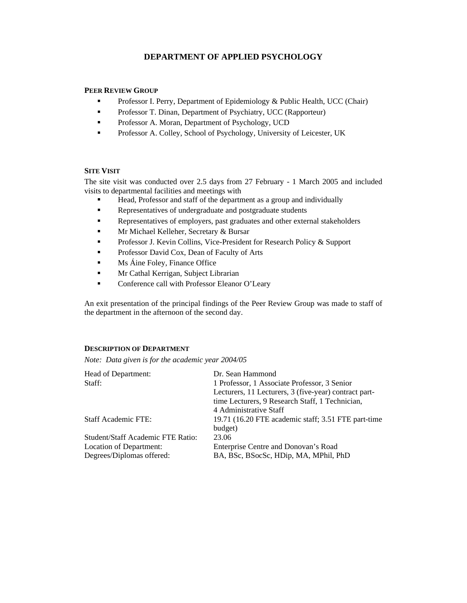# **DEPARTMENT OF APPLIED PSYCHOLOGY**

# **PEER REVIEW GROUP**

- **Professor I. Perry, Department of Epidemiology & Public Health, UCC (Chair)**
- **Professor T. Dinan, Department of Psychiatry, UCC (Rapporteur)**
- **Professor A. Moran, Department of Psychology, UCD**
- **Professor A. Colley, School of Psychology, University of Leicester, UK**

# **SITE VISIT**

The site visit was conducted over 2.5 days from 27 February - 1 March 2005 and included visits to departmental facilities and meetings with

- Head, Professor and staff of the department as a group and individually
- Representatives of undergraduate and postgraduate students
- Representatives of employers, past graduates and other external stakeholders
- **Mr Michael Kelleher, Secretary & Bursar**
- Professor J. Kevin Collins, Vice-President for Research Policy & Support
- Professor David Cox, Dean of Faculty of Arts
- $\blacksquare$  Ms Áine Foley, Finance Office
- **Mr Cathal Kerrigan, Subject Librarian**
- **Conference call with Professor Eleanor O'Leary**

An exit presentation of the principal findings of the Peer Review Group was made to staff of the department in the afternoon of the second day.

# **DESCRIPTION OF DEPARTMENT**

*Note: Data given is for the academic year 2004/05* 

| Head of Department:<br>Staff:                                                             | Dr. Sean Hammond<br>1 Professor, 1 Associate Professor, 3 Senior<br>Lecturers, 11 Lecturers, 3 (five-year) contract part-<br>time Lecturers, 9 Research Staff, 1 Technician, |
|-------------------------------------------------------------------------------------------|------------------------------------------------------------------------------------------------------------------------------------------------------------------------------|
| <b>Staff Academic FTE:</b>                                                                | 4 Administrative Staff<br>19.71 (16.20 FTE academic staff; 3.51 FTE part-time<br>budget)                                                                                     |
| Student/Staff Academic FTE Ratio:<br>Location of Department:<br>Degrees/Diplomas offered: | 23.06<br>Enterprise Centre and Donovan's Road<br>BA, BSc, BSocSc, HDip, MA, MPhil, PhD                                                                                       |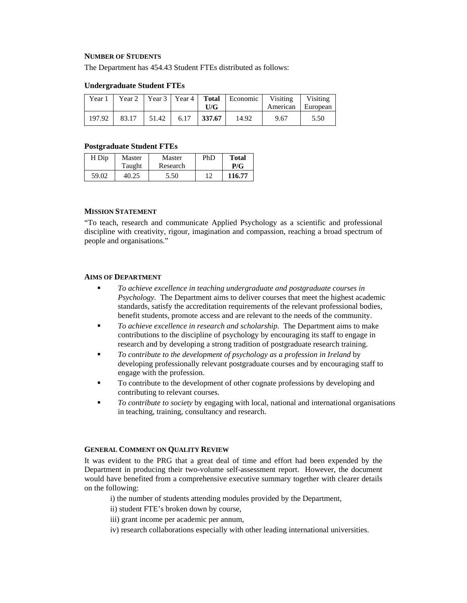#### **NUMBER OF STUDENTS**

The Department has 454.43 Student FTEs distributed as follows:

#### **Undergraduate Student FTEs**

| Year 1 | Year 2 | $\vert$ Year 3   Year 4   Total |      | U/G    | Economic | Visiting<br>American | Visiting<br>  European |
|--------|--------|---------------------------------|------|--------|----------|----------------------|------------------------|
|        |        |                                 |      |        |          |                      |                        |
| 197.92 | 83.17  | 51.42                           | 6.17 | 337.67 | 14.92    | 9.67                 | 5.50                   |

#### **Postgraduate Student FTEs**

| H Dip | Master | Master   | PhD | <b>Total</b> |
|-------|--------|----------|-----|--------------|
|       | Taught | Research |     | P/G          |
| 59.02 | 40.25  | 5.50     |     | 116.77       |

# **MISSION STATEMENT**

"To teach, research and communicate Applied Psychology as a scientific and professional discipline with creativity, rigour, imagination and compassion, reaching a broad spectrum of people and organisations."

#### **AIMS OF DEPARTMENT**

- *To achieve excellence in teaching undergraduate and postgraduate courses in Psychology.* The Department aims to deliver courses that meet the highest academic standards, satisfy the accreditation requirements of the relevant professional bodies, benefit students, promote access and are relevant to the needs of the community.
- *To achieve excellence in research and scholarship.* The Department aims to make contributions to the discipline of psychology by encouraging its staff to engage in research and by developing a strong tradition of postgraduate research training.
- *To contribute to the development of psychology as a profession in Ireland* by developing professionally relevant postgraduate courses and by encouraging staff to engage with the profession.
- To contribute to the development of other cognate professions by developing and contributing to relevant courses.
- *To contribute to society* by engaging with local, national and international organisations in teaching, training, consultancy and research.

#### **GENERAL COMMENT ON QUALITY REVIEW**

It was evident to the PRG that a great deal of time and effort had been expended by the Department in producing their two-volume self-assessment report. However, the document would have benefited from a comprehensive executive summary together with clearer details on the following:

- i) the number of students attending modules provided by the Department,
- ii) student FTE's broken down by course,
- iii) grant income per academic per annum,
- iv) research collaborations especially with other leading international universities.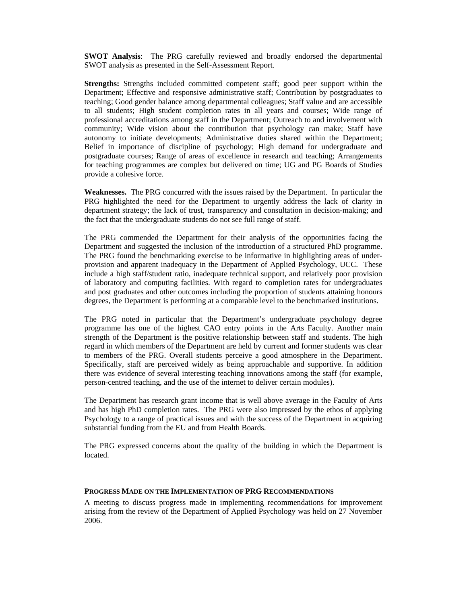**SWOT Analysis**: The PRG carefully reviewed and broadly endorsed the departmental SWOT analysis as presented in the Self-Assessment Report.

**Strengths:** Strengths included committed competent staff; good peer support within the Department; Effective and responsive administrative staff; Contribution by postgraduates to teaching; Good gender balance among departmental colleagues; Staff value and are accessible to all students; High student completion rates in all years and courses; Wide range of professional accreditations among staff in the Department; Outreach to and involvement with community; Wide vision about the contribution that psychology can make; Staff have autonomy to initiate developments; Administrative duties shared within the Department; Belief in importance of discipline of psychology; High demand for undergraduate and postgraduate courses; Range of areas of excellence in research and teaching; Arrangements for teaching programmes are complex but delivered on time; UG and PG Boards of Studies provide a cohesive force.

**Weaknesses.** The PRG concurred with the issues raised by the Department. In particular the PRG highlighted the need for the Department to urgently address the lack of clarity in department strategy; the lack of trust, transparency and consultation in decision-making; and the fact that the undergraduate students do not see full range of staff.

The PRG commended the Department for their analysis of the opportunities facing the Department and suggested the inclusion of the introduction of a structured PhD programme. The PRG found the benchmarking exercise to be informative in highlighting areas of underprovision and apparent inadequacy in the Department of Applied Psychology, UCC. These include a high staff/student ratio, inadequate technical support, and relatively poor provision of laboratory and computing facilities. With regard to completion rates for undergraduates and post graduates and other outcomes including the proportion of students attaining honours degrees, the Department is performing at a comparable level to the benchmarked institutions.

The PRG noted in particular that the Department's undergraduate psychology degree programme has one of the highest CAO entry points in the Arts Faculty. Another main strength of the Department is the positive relationship between staff and students. The high regard in which members of the Department are held by current and former students was clear to members of the PRG. Overall students perceive a good atmosphere in the Department. Specifically, staff are perceived widely as being approachable and supportive. In addition there was evidence of several interesting teaching innovations among the staff (for example, person-centred teaching, and the use of the internet to deliver certain modules).

The Department has research grant income that is well above average in the Faculty of Arts and has high PhD completion rates. The PRG were also impressed by the ethos of applying Psychology to a range of practical issues and with the success of the Department in acquiring substantial funding from the EU and from Health Boards.

The PRG expressed concerns about the quality of the building in which the Department is located.

# **PROGRESS MADE ON THE IMPLEMENTATION OF PRG RECOMMENDATIONS**

A meeting to discuss progress made in implementing recommendations for improvement arising from the review of the Department of Applied Psychology was held on 27 November 2006.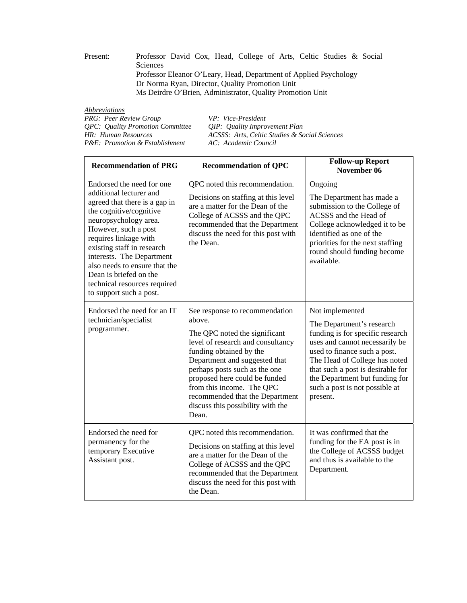Present: Professor David Cox, Head, College of Arts, Celtic Studies & Social Sciences Professor Eleanor O'Leary, Head, Department of Applied Psychology Dr Norma Ryan, Director, Quality Promotion Unit Ms Deirdre O'Brien, Administrator, Quality Promotion Unit

| VP: Vice-President                            |
|-----------------------------------------------|
| OIP: Quality Improvement Plan                 |
| ACSSS: Arts, Celtic Studies & Social Sciences |
| AC: Academic Council                          |
|                                               |

| <b>Recommendation of PRG</b>                                                                                                                                                                                                                                                                                                                                                | <b>Recommendation of QPC</b>                                                                                                                                                                                                                                                                                                                               | <b>Follow-up Report</b><br>November 06                                                                                                                                                                                                                                                                   |
|-----------------------------------------------------------------------------------------------------------------------------------------------------------------------------------------------------------------------------------------------------------------------------------------------------------------------------------------------------------------------------|------------------------------------------------------------------------------------------------------------------------------------------------------------------------------------------------------------------------------------------------------------------------------------------------------------------------------------------------------------|----------------------------------------------------------------------------------------------------------------------------------------------------------------------------------------------------------------------------------------------------------------------------------------------------------|
| Endorsed the need for one<br>additional lecturer and<br>agreed that there is a gap in<br>the cognitive/cognitive<br>neuropsychology area.<br>However, such a post<br>requires linkage with<br>existing staff in research<br>interests. The Department<br>also needs to ensure that the<br>Dean is briefed on the<br>technical resources required<br>to support such a post. | QPC noted this recommendation.<br>Decisions on staffing at this level<br>are a matter for the Dean of the<br>College of ACSSS and the QPC<br>recommended that the Department<br>discuss the need for this post with<br>the Dean.                                                                                                                           | Ongoing<br>The Department has made a<br>submission to the College of<br>ACSSS and the Head of<br>College acknowledged it to be<br>identified as one of the<br>priorities for the next staffing<br>round should funding become<br>available.                                                              |
| Endorsed the need for an IT<br>technician/specialist<br>programmer.                                                                                                                                                                                                                                                                                                         | See response to recommendation<br>above.<br>The QPC noted the significant<br>level of research and consultancy<br>funding obtained by the<br>Department and suggested that<br>perhaps posts such as the one<br>proposed here could be funded<br>from this income. The QPC<br>recommended that the Department<br>discuss this possibility with the<br>Dean. | Not implemented<br>The Department's research<br>funding is for specific research<br>uses and cannot necessarily be<br>used to finance such a post.<br>The Head of College has noted<br>that such a post is desirable for<br>the Department but funding for<br>such a post is not possible at<br>present. |
| Endorsed the need for<br>permanency for the<br>temporary Executive<br>Assistant post.                                                                                                                                                                                                                                                                                       | QPC noted this recommendation.<br>Decisions on staffing at this level<br>are a matter for the Dean of the<br>College of ACSSS and the QPC<br>recommended that the Department<br>discuss the need for this post with<br>the Dean.                                                                                                                           | It was confirmed that the<br>funding for the EA post is in<br>the College of ACSSS budget<br>and thus is available to the<br>Department.                                                                                                                                                                 |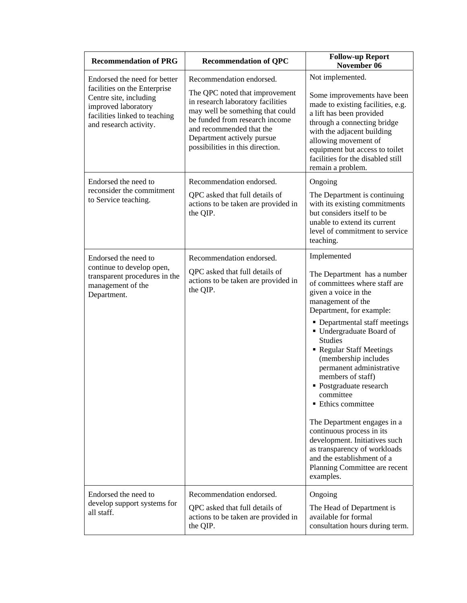| <b>Recommendation of PRG</b>                                                                                                                                             | <b>Recommendation of QPC</b>                                                                                                                                                                                                                                        | <b>Follow-up Report</b><br>November 06                                                                                                                                                                                                                                                                                                                                                                                                                                                                                                                                                                           |
|--------------------------------------------------------------------------------------------------------------------------------------------------------------------------|---------------------------------------------------------------------------------------------------------------------------------------------------------------------------------------------------------------------------------------------------------------------|------------------------------------------------------------------------------------------------------------------------------------------------------------------------------------------------------------------------------------------------------------------------------------------------------------------------------------------------------------------------------------------------------------------------------------------------------------------------------------------------------------------------------------------------------------------------------------------------------------------|
| Endorsed the need for better<br>facilities on the Enterprise<br>Centre site, including<br>improved laboratory<br>facilities linked to teaching<br>and research activity. | Recommendation endorsed.<br>The QPC noted that improvement<br>in research laboratory facilities<br>may well be something that could<br>be funded from research income<br>and recommended that the<br>Department actively pursue<br>possibilities in this direction. | Not implemented.<br>Some improvements have been<br>made to existing facilities, e.g.<br>a lift has been provided<br>through a connecting bridge<br>with the adjacent building<br>allowing movement of<br>equipment but access to toilet<br>facilities for the disabled still<br>remain a problem.                                                                                                                                                                                                                                                                                                                |
| Endorsed the need to<br>reconsider the commitment<br>to Service teaching.                                                                                                | Recommendation endorsed.<br>QPC asked that full details of<br>actions to be taken are provided in<br>the QIP.                                                                                                                                                       | Ongoing<br>The Department is continuing<br>with its existing commitments<br>but considers itself to be<br>unable to extend its current<br>level of commitment to service<br>teaching.                                                                                                                                                                                                                                                                                                                                                                                                                            |
| Endorsed the need to<br>continue to develop open,<br>transparent procedures in the<br>management of the<br>Department.                                                   | Recommendation endorsed.<br>QPC asked that full details of<br>actions to be taken are provided in<br>the QIP.                                                                                                                                                       | Implemented<br>The Department has a number<br>of committees where staff are<br>given a voice in the<br>management of the<br>Department, for example:<br>• Departmental staff meetings<br>Undergraduate Board of<br><b>Studies</b><br>Regular Staff Meetings<br>(membership includes<br>permanent administrative<br>members of staff)<br>• Postgraduate research<br>committee<br><b>Ethics committee</b><br>The Department engages in a<br>continuous process in its<br>development. Initiatives such<br>as transparency of workloads<br>and the establishment of a<br>Planning Committee are recent<br>examples. |
| Endorsed the need to<br>develop support systems for<br>all staff.                                                                                                        | Recommendation endorsed.<br>QPC asked that full details of<br>actions to be taken are provided in<br>the QIP.                                                                                                                                                       | Ongoing<br>The Head of Department is<br>available for formal<br>consultation hours during term.                                                                                                                                                                                                                                                                                                                                                                                                                                                                                                                  |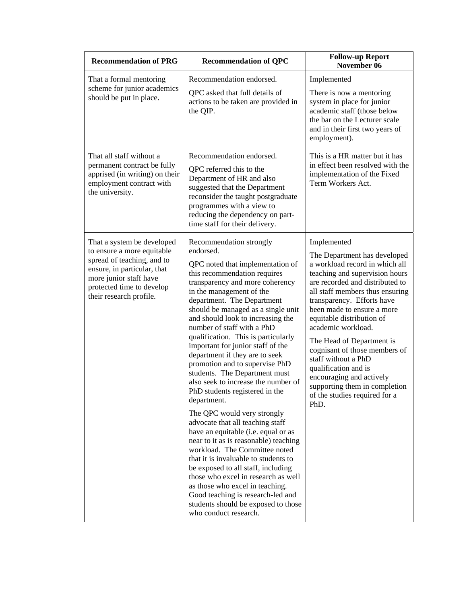| <b>Recommendation of PRG</b>                                                                                                                                                                            | <b>Recommendation of QPC</b>                                                                                                                                                                                                                                                                                                                                                                                                                                                                                                                                                                                                                                                                                                                                                                                                                                                                                                                                                                                                             | <b>Follow-up Report</b><br>November 06                                                                                                                                                                                                                                                                                                                                                                                                                                                                                  |
|---------------------------------------------------------------------------------------------------------------------------------------------------------------------------------------------------------|------------------------------------------------------------------------------------------------------------------------------------------------------------------------------------------------------------------------------------------------------------------------------------------------------------------------------------------------------------------------------------------------------------------------------------------------------------------------------------------------------------------------------------------------------------------------------------------------------------------------------------------------------------------------------------------------------------------------------------------------------------------------------------------------------------------------------------------------------------------------------------------------------------------------------------------------------------------------------------------------------------------------------------------|-------------------------------------------------------------------------------------------------------------------------------------------------------------------------------------------------------------------------------------------------------------------------------------------------------------------------------------------------------------------------------------------------------------------------------------------------------------------------------------------------------------------------|
| That a formal mentoring<br>scheme for junior academics<br>should be put in place.                                                                                                                       | Recommendation endorsed.<br>QPC asked that full details of<br>actions to be taken are provided in<br>the QIP.                                                                                                                                                                                                                                                                                                                                                                                                                                                                                                                                                                                                                                                                                                                                                                                                                                                                                                                            | Implemented<br>There is now a mentoring<br>system in place for junior<br>academic staff (those below<br>the bar on the Lecturer scale<br>and in their first two years of<br>employment).                                                                                                                                                                                                                                                                                                                                |
| That all staff without a<br>permanent contract be fully<br>apprised (in writing) on their<br>employment contract with<br>the university.                                                                | Recommendation endorsed.<br>QPC referred this to the<br>Department of HR and also<br>suggested that the Department<br>reconsider the taught postgraduate<br>programmes with a view to<br>reducing the dependency on part-<br>time staff for their delivery.                                                                                                                                                                                                                                                                                                                                                                                                                                                                                                                                                                                                                                                                                                                                                                              | This is a HR matter but it has<br>in effect been resolved with the<br>implementation of the Fixed<br>Term Workers Act.                                                                                                                                                                                                                                                                                                                                                                                                  |
| That a system be developed<br>to ensure a more equitable<br>spread of teaching, and to<br>ensure, in particular, that<br>more junior staff have<br>protected time to develop<br>their research profile. | Recommendation strongly<br>endorsed.<br>QPC noted that implementation of<br>this recommendation requires<br>transparency and more coherency<br>in the management of the<br>department. The Department<br>should be managed as a single unit<br>and should look to increasing the<br>number of staff with a PhD<br>qualification. This is particularly<br>important for junior staff of the<br>department if they are to seek<br>promotion and to supervise PhD<br>students. The Department must<br>also seek to increase the number of<br>PhD students registered in the<br>department.<br>The QPC would very strongly<br>advocate that all teaching staff<br>have an equitable (i.e. equal or as<br>near to it as is reasonable) teaching<br>workload. The Committee noted<br>that it is invaluable to students to<br>be exposed to all staff, including<br>those who excel in research as well<br>as those who excel in teaching.<br>Good teaching is research-led and<br>students should be exposed to those<br>who conduct research. | Implemented<br>The Department has developed<br>a workload record in which all<br>teaching and supervision hours<br>are recorded and distributed to<br>all staff members thus ensuring<br>transparency. Efforts have<br>been made to ensure a more<br>equitable distribution of<br>academic workload.<br>The Head of Department is<br>cognisant of those members of<br>staff without a PhD<br>qualification and is<br>encouraging and actively<br>supporting them in completion<br>of the studies required for a<br>PhD. |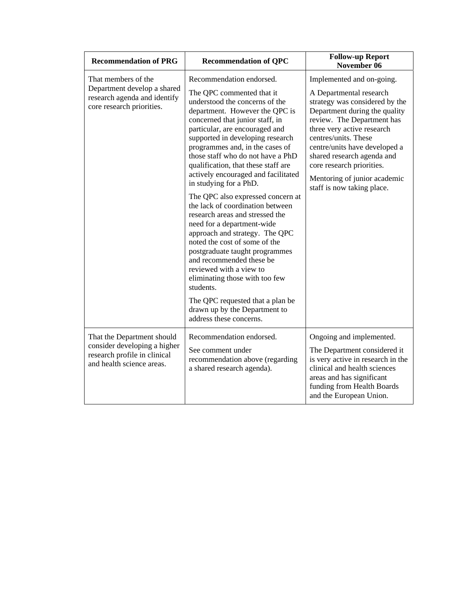| <b>Recommendation of PRG</b>                                                                                            | <b>Recommendation of QPC</b>                                                                                                                                                                                                                                                                                                                                                                                                                                                                                                                                                                                                                                                                                                                                                                                                                                            | <b>Follow-up Report</b><br>November 06                                                                                                                                                                                                                                                                                                                                |
|-------------------------------------------------------------------------------------------------------------------------|-------------------------------------------------------------------------------------------------------------------------------------------------------------------------------------------------------------------------------------------------------------------------------------------------------------------------------------------------------------------------------------------------------------------------------------------------------------------------------------------------------------------------------------------------------------------------------------------------------------------------------------------------------------------------------------------------------------------------------------------------------------------------------------------------------------------------------------------------------------------------|-----------------------------------------------------------------------------------------------------------------------------------------------------------------------------------------------------------------------------------------------------------------------------------------------------------------------------------------------------------------------|
| That members of the<br>Department develop a shared<br>research agenda and identify<br>core research priorities.         | Recommendation endorsed.<br>The QPC commented that it<br>understood the concerns of the<br>department. However the QPC is<br>concerned that junior staff, in<br>particular, are encouraged and<br>supported in developing research<br>programmes and, in the cases of<br>those staff who do not have a PhD<br>qualification, that these staff are<br>actively encouraged and facilitated<br>in studying for a PhD.<br>The QPC also expressed concern at<br>the lack of coordination between<br>research areas and stressed the<br>need for a department-wide<br>approach and strategy. The QPC<br>noted the cost of some of the<br>postgraduate taught programmes<br>and recommended these be<br>reviewed with a view to<br>eliminating those with too few<br>students.<br>The QPC requested that a plan be<br>drawn up by the Department to<br>address these concerns. | Implemented and on-going.<br>A Departmental research<br>strategy was considered by the<br>Department during the quality<br>review. The Department has<br>three very active research<br>centres/units. These<br>centre/units have developed a<br>shared research agenda and<br>core research priorities.<br>Mentoring of junior academic<br>staff is now taking place. |
| That the Department should<br>consider developing a higher<br>research profile in clinical<br>and health science areas. | Recommendation endorsed.<br>See comment under<br>recommendation above (regarding<br>a shared research agenda).                                                                                                                                                                                                                                                                                                                                                                                                                                                                                                                                                                                                                                                                                                                                                          | Ongoing and implemented.<br>The Department considered it<br>is very active in research in the<br>clinical and health sciences<br>areas and has significant<br>funding from Health Boards<br>and the European Union.                                                                                                                                                   |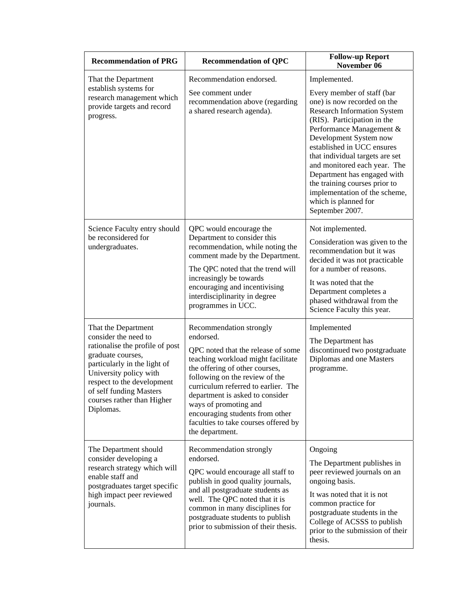| <b>Recommendation of PRG</b>                                                                                                                                                                                                                                      | <b>Recommendation of QPC</b>                                                                                                                                                                                                                                                                                                                                                          | <b>Follow-up Report</b><br>November 06                                                                                                                                                                                                                                                                                                                                                                                                            |
|-------------------------------------------------------------------------------------------------------------------------------------------------------------------------------------------------------------------------------------------------------------------|---------------------------------------------------------------------------------------------------------------------------------------------------------------------------------------------------------------------------------------------------------------------------------------------------------------------------------------------------------------------------------------|---------------------------------------------------------------------------------------------------------------------------------------------------------------------------------------------------------------------------------------------------------------------------------------------------------------------------------------------------------------------------------------------------------------------------------------------------|
| That the Department<br>establish systems for<br>research management which<br>provide targets and record<br>progress.                                                                                                                                              | Recommendation endorsed.<br>See comment under<br>recommendation above (regarding<br>a shared research agenda).                                                                                                                                                                                                                                                                        | Implemented.<br>Every member of staff (bar<br>one) is now recorded on the<br><b>Research Information System</b><br>(RIS). Participation in the<br>Performance Management &<br>Development System now<br>established in UCC ensures<br>that individual targets are set<br>and monitored each year. The<br>Department has engaged with<br>the training courses prior to<br>implementation of the scheme,<br>which is planned for<br>September 2007. |
| Science Faculty entry should<br>be reconsidered for<br>undergraduates.                                                                                                                                                                                            | QPC would encourage the<br>Department to consider this<br>recommendation, while noting the<br>comment made by the Department.<br>The QPC noted that the trend will<br>increasingly be towards<br>encouraging and incentivising<br>interdisciplinarity in degree<br>programmes in UCC.                                                                                                 | Not implemented.<br>Consideration was given to the<br>recommendation but it was<br>decided it was not practicable<br>for a number of reasons.<br>It was noted that the<br>Department completes a<br>phased withdrawal from the<br>Science Faculty this year.                                                                                                                                                                                      |
| That the Department<br>consider the need to<br>rationalise the profile of post<br>graduate courses,<br>particularly in the light of<br>University policy with<br>respect to the development<br>of self funding Masters<br>courses rather than Higher<br>Diplomas. | Recommendation strongly<br>endorsed.<br>QPC noted that the release of some<br>teaching workload might facilitate<br>the offering of other courses,<br>following on the review of the<br>curriculum referred to earlier. The<br>department is asked to consider<br>ways of promoting and<br>encouraging students from other<br>faculties to take courses offered by<br>the department. | Implemented<br>The Department has<br>discontinued two postgraduate<br>Diplomas and one Masters<br>programme.                                                                                                                                                                                                                                                                                                                                      |
| The Department should<br>consider developing a<br>research strategy which will<br>enable staff and<br>postgraduates target specific<br>high impact peer reviewed<br>journals.                                                                                     | Recommendation strongly<br>endorsed.<br>QPC would encourage all staff to<br>publish in good quality journals,<br>and all postgraduate students as<br>well. The QPC noted that it is<br>common in many disciplines for<br>postgraduate students to publish<br>prior to submission of their thesis.                                                                                     | Ongoing<br>The Department publishes in<br>peer reviewed journals on an<br>ongoing basis.<br>It was noted that it is not<br>common practice for<br>postgraduate students in the<br>College of ACSSS to publish<br>prior to the submission of their<br>thesis.                                                                                                                                                                                      |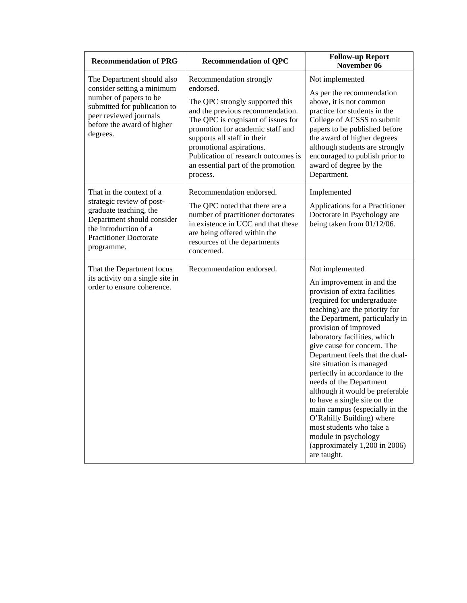| <b>Recommendation of PRG</b>                                                                                                                                                           | <b>Recommendation of QPC</b>                                                                                                                                                                                                                                                                                                              | <b>Follow-up Report</b><br>November 06                                                                                                                                                                                                                                                                                                                                                                                                                                                                                                                                                                                                            |
|----------------------------------------------------------------------------------------------------------------------------------------------------------------------------------------|-------------------------------------------------------------------------------------------------------------------------------------------------------------------------------------------------------------------------------------------------------------------------------------------------------------------------------------------|---------------------------------------------------------------------------------------------------------------------------------------------------------------------------------------------------------------------------------------------------------------------------------------------------------------------------------------------------------------------------------------------------------------------------------------------------------------------------------------------------------------------------------------------------------------------------------------------------------------------------------------------------|
| The Department should also<br>consider setting a minimum<br>number of papers to be<br>submitted for publication to<br>peer reviewed journals<br>before the award of higher<br>degrees. | Recommendation strongly<br>endorsed.<br>The QPC strongly supported this<br>and the previous recommendation.<br>The QPC is cognisant of issues for<br>promotion for academic staff and<br>supports all staff in their<br>promotional aspirations.<br>Publication of research outcomes is<br>an essential part of the promotion<br>process. | Not implemented<br>As per the recommendation<br>above, it is not common<br>practice for students in the<br>College of ACSSS to submit<br>papers to be published before<br>the award of higher degrees<br>although students are strongly<br>encouraged to publish prior to<br>award of degree by the<br>Department.                                                                                                                                                                                                                                                                                                                                |
| That in the context of a<br>strategic review of post-<br>graduate teaching, the<br>Department should consider<br>the introduction of a<br><b>Practitioner Doctorate</b><br>programme.  | Recommendation endorsed.<br>The QPC noted that there are a<br>number of practitioner doctorates<br>in existence in UCC and that these<br>are being offered within the<br>resources of the departments<br>concerned.                                                                                                                       | Implemented<br>Applications for a Practitioner<br>Doctorate in Psychology are<br>being taken from 01/12/06.                                                                                                                                                                                                                                                                                                                                                                                                                                                                                                                                       |
| That the Department focus<br>its activity on a single site in<br>order to ensure coherence.                                                                                            | Recommendation endorsed.                                                                                                                                                                                                                                                                                                                  | Not implemented<br>An improvement in and the<br>provision of extra facilities<br>(required for undergraduate<br>teaching) are the priority for<br>the Department, particularly in<br>provision of improved<br>laboratory facilities, which<br>give cause for concern. The<br>Department feels that the dual-<br>site situation is managed<br>perfectly in accordance to the<br>needs of the Department<br>although it would be preferable<br>to have a single site on the<br>main campus (especially in the<br>O'Rahilly Building) where<br>most students who take a<br>module in psychology<br>(approximately $1,200$ in $2006$ )<br>are taught. |